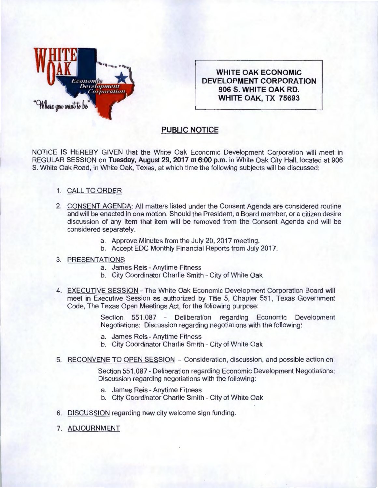

**WHITE OAK ECONOMIC DEVELOPMENT CORPORATION 906 5. WHITE OAK RD. WHITE OAK, TX 75693** 

## **PUBLIC NOTICE**

NOTICE IS HEREBY GIVEN that the White Oak Economic Development Corporation will meet in REGULAR SESSION on **Tuesday, August** 29, **2017 at 6:00p.m.** in White Oak City Hall, located at 906 S. White Oak Road, in White Oak, Texas, at which time the following subjects will be discussed:

## 1. CALL TO ORDER

- 2. CONSENT AGENDA: All matters listed under the Consent Agenda are considered routine and will be enacted in one motion. Should the President, a Board member, or a citizen desire discussion of any item that item will be removed from the Consent Agenda and will be considered separately.
	- a. Approve Minutes from the July 20, 2017 meeting.
	- b. Accept EDC Monthly Financial Reports from July 2017.

## 3. PRESENTATIONS

- a. James Reis- Anytime Fitness
- b. City Coordinator Charlie Smith- City of White Oak
- 4. EXECUTIVE SESSION The White Oak Economic Development Corporation Board will meet in Executive Session as authorized by Title 5, Chapter 551, Texas Government Code, The Texas Open Meetings Act, for the following purpose:

Section 551.087 - Deliberation regarding Economic Development Negotiations: Discussion regarding negotiations with the following:

- a. James Reis- Anytime Fitness
- b. City Coordinator Charlie Smith- City of White Oak
- 5. RECONVENE TO OPEN SESSION Consideration, discussion, and possible action on:

Section 551.087- Deliberation regarding Economic Development Negotiations: Discussion regarding negotiations with the following:

- a. James Reis Anytime Fitness
- b. City Coordinator Charlie Smith- City of White Oak
- 6. DISCUSSION regarding new city welcome sign funding.
- 7. ADJOURNMENT